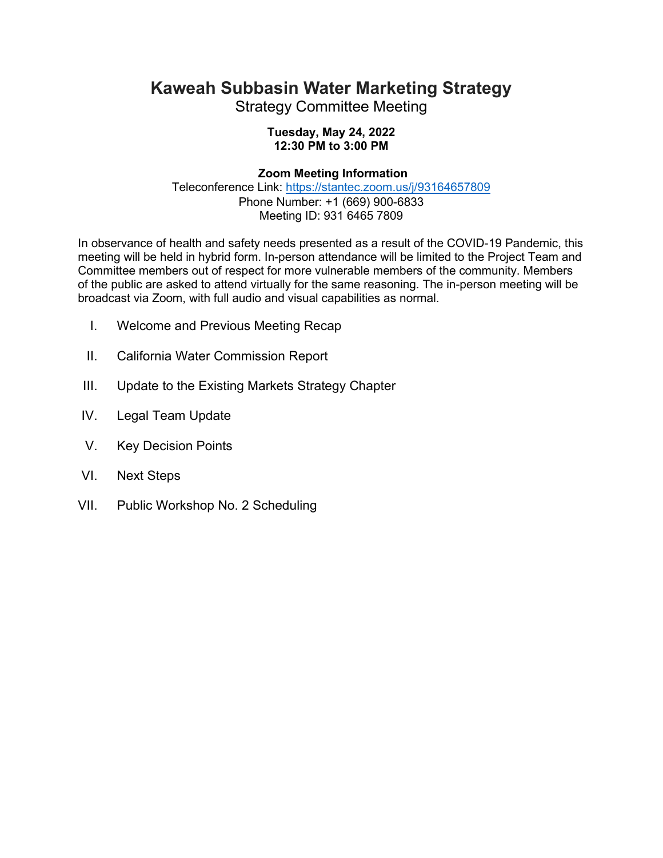## **Kaweah Subbasin Water Marketing Strategy**

Strategy Committee Meeting

## **Tuesday, May 24, 2022 12:30 PM to 3:00 PM**

## **Zoom Meeting Information**

Teleconference Link: <https://stantec.zoom.us/j/93164657809> Phone Number: +1 (669) 900-6833 Meeting ID: 931 6465 7809

In observance of health and safety needs presented as a result of the COVID-19 Pandemic, this meeting will be held in hybrid form. In-person attendance will be limited to the Project Team and Committee members out of respect for more vulnerable members of the community. Members of the public are asked to attend virtually for the same reasoning. The in-person meeting will be broadcast via Zoom, with full audio and visual capabilities as normal.

- I. Welcome and Previous Meeting Recap
- II. California Water Commission Report
- III. Update to the Existing Markets Strategy Chapter
- IV. Legal Team Update
- V. Key Decision Points
- VI. Next Steps
- VII. Public Workshop No. 2 Scheduling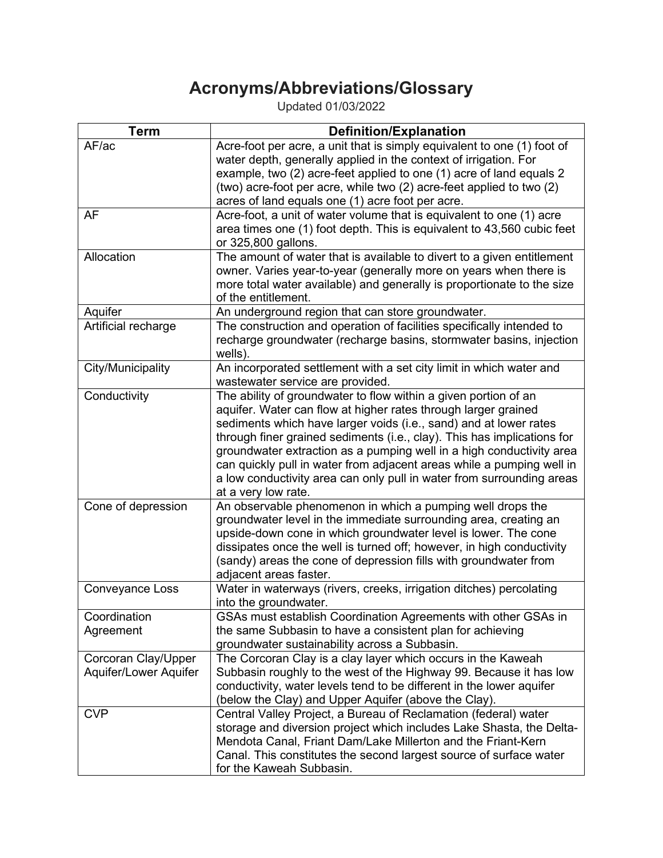## **Acronyms/Abbreviations/Glossary**

Updated 01/03/2022

| <b>Term</b>           | <b>Definition/Explanation</b>                                                                       |
|-----------------------|-----------------------------------------------------------------------------------------------------|
| AF/ac                 | Acre-foot per acre, a unit that is simply equivalent to one (1) foot of                             |
|                       | water depth, generally applied in the context of irrigation. For                                    |
|                       | example, two (2) acre-feet applied to one (1) acre of land equals 2                                 |
|                       | (two) acre-foot per acre, while two (2) acre-feet applied to two (2)                                |
|                       | acres of land equals one (1) acre foot per acre.                                                    |
| AF                    | Acre-foot, a unit of water volume that is equivalent to one (1) acre                                |
|                       | area times one (1) foot depth. This is equivalent to 43,560 cubic feet                              |
|                       | or 325,800 gallons.                                                                                 |
| Allocation            | The amount of water that is available to divert to a given entitlement                              |
|                       | owner. Varies year-to-year (generally more on years when there is                                   |
|                       | more total water available) and generally is proportionate to the size                              |
|                       | of the entitlement.                                                                                 |
| Aquifer               | An underground region that can store groundwater.                                                   |
| Artificial recharge   | The construction and operation of facilities specifically intended to                               |
|                       | recharge groundwater (recharge basins, stormwater basins, injection                                 |
|                       | wells).                                                                                             |
| City/Municipality     | An incorporated settlement with a set city limit in which water and                                 |
| Conductivity          | wastewater service are provided.<br>The ability of groundwater to flow within a given portion of an |
|                       | aquifer. Water can flow at higher rates through larger grained                                      |
|                       | sediments which have larger voids (i.e., sand) and at lower rates                                   |
|                       | through finer grained sediments (i.e., clay). This has implications for                             |
|                       | groundwater extraction as a pumping well in a high conductivity area                                |
|                       | can quickly pull in water from adjacent areas while a pumping well in                               |
|                       | a low conductivity area can only pull in water from surrounding areas                               |
|                       | at a very low rate.                                                                                 |
| Cone of depression    | An observable phenomenon in which a pumping well drops the                                          |
|                       | groundwater level in the immediate surrounding area, creating an                                    |
|                       | upside-down cone in which groundwater level is lower. The cone                                      |
|                       | dissipates once the well is turned off; however, in high conductivity                               |
|                       | (sandy) areas the cone of depression fills with groundwater from                                    |
|                       | adjacent areas faster.                                                                              |
| Conveyance Loss       | Water in waterways (rivers, creeks, irrigation ditches) percolating                                 |
|                       | into the groundwater.                                                                               |
| Coordination          | GSAs must establish Coordination Agreements with other GSAs in                                      |
| Agreement             | the same Subbasin to have a consistent plan for achieving                                           |
|                       | groundwater sustainability across a Subbasin.                                                       |
| Corcoran Clay/Upper   | The Corcoran Clay is a clay layer which occurs in the Kaweah                                        |
| Aquifer/Lower Aquifer | Subbasin roughly to the west of the Highway 99. Because it has low                                  |
|                       | conductivity, water levels tend to be different in the lower aquifer                                |
|                       | (below the Clay) and Upper Aquifer (above the Clay).                                                |
| <b>CVP</b>            | Central Valley Project, a Bureau of Reclamation (federal) water                                     |
|                       | storage and diversion project which includes Lake Shasta, the Delta-                                |
|                       | Mendota Canal, Friant Dam/Lake Millerton and the Friant-Kern                                        |
|                       | Canal. This constitutes the second largest source of surface water<br>for the Kaweah Subbasin.      |
|                       |                                                                                                     |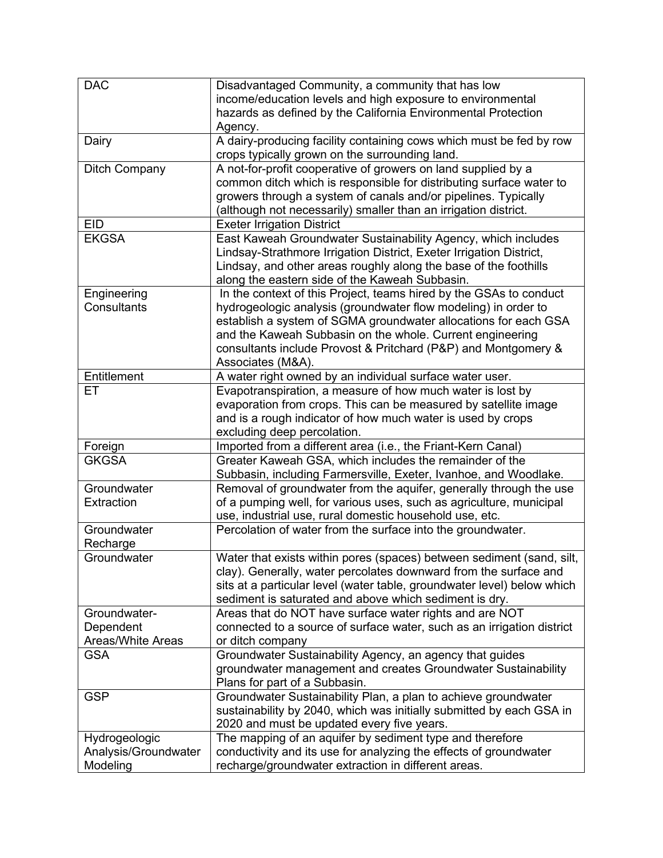| <b>DAC</b>                                        | Disadvantaged Community, a community that has low<br>income/education levels and high exposure to environmental<br>hazards as defined by the California Environmental Protection<br>Agency.                                                                                                                                                                 |
|---------------------------------------------------|-------------------------------------------------------------------------------------------------------------------------------------------------------------------------------------------------------------------------------------------------------------------------------------------------------------------------------------------------------------|
| Dairy                                             | A dairy-producing facility containing cows which must be fed by row<br>crops typically grown on the surrounding land.                                                                                                                                                                                                                                       |
| <b>Ditch Company</b>                              | A not-for-profit cooperative of growers on land supplied by a<br>common ditch which is responsible for distributing surface water to<br>growers through a system of canals and/or pipelines. Typically<br>(although not necessarily) smaller than an irrigation district.                                                                                   |
| <b>EID</b>                                        | <b>Exeter Irrigation District</b>                                                                                                                                                                                                                                                                                                                           |
| <b>EKGSA</b>                                      | East Kaweah Groundwater Sustainability Agency, which includes<br>Lindsay-Strathmore Irrigation District, Exeter Irrigation District,<br>Lindsay, and other areas roughly along the base of the foothills<br>along the eastern side of the Kaweah Subbasin.                                                                                                  |
| Engineering<br>Consultants                        | In the context of this Project, teams hired by the GSAs to conduct<br>hydrogeologic analysis (groundwater flow modeling) in order to<br>establish a system of SGMA groundwater allocations for each GSA<br>and the Kaweah Subbasin on the whole. Current engineering<br>consultants include Provost & Pritchard (P&P) and Montgomery &<br>Associates (M&A). |
| Entitlement                                       | A water right owned by an individual surface water user.                                                                                                                                                                                                                                                                                                    |
| ET                                                | Evapotranspiration, a measure of how much water is lost by<br>evaporation from crops. This can be measured by satellite image<br>and is a rough indicator of how much water is used by crops<br>excluding deep percolation.                                                                                                                                 |
| Foreign                                           | Imported from a different area (i.e., the Friant-Kern Canal)                                                                                                                                                                                                                                                                                                |
| <b>GKGSA</b>                                      | Greater Kaweah GSA, which includes the remainder of the<br>Subbasin, including Farmersville, Exeter, Ivanhoe, and Woodlake.                                                                                                                                                                                                                                 |
| Groundwater<br>Extraction                         | Removal of groundwater from the aquifer, generally through the use<br>of a pumping well, for various uses, such as agriculture, municipal<br>use, industrial use, rural domestic household use, etc.                                                                                                                                                        |
| Groundwater<br>Recharge                           | Percolation of water from the surface into the groundwater.                                                                                                                                                                                                                                                                                                 |
| Groundwater                                       | Water that exists within pores (spaces) between sediment (sand, silt,<br>clay). Generally, water percolates downward from the surface and<br>sits at a particular level (water table, groundwater level) below which<br>sediment is saturated and above which sediment is dry.                                                                              |
| Groundwater-                                      | Areas that do NOT have surface water rights and are NOT                                                                                                                                                                                                                                                                                                     |
| Dependent                                         | connected to a source of surface water, such as an irrigation district                                                                                                                                                                                                                                                                                      |
| Areas/White Areas                                 | or ditch company                                                                                                                                                                                                                                                                                                                                            |
| <b>GSA</b>                                        | Groundwater Sustainability Agency, an agency that guides<br>groundwater management and creates Groundwater Sustainability<br>Plans for part of a Subbasin.                                                                                                                                                                                                  |
| <b>GSP</b>                                        | Groundwater Sustainability Plan, a plan to achieve groundwater<br>sustainability by 2040, which was initially submitted by each GSA in<br>2020 and must be updated every five years.                                                                                                                                                                        |
| Hydrogeologic<br>Analysis/Groundwater<br>Modeling | The mapping of an aquifer by sediment type and therefore<br>conductivity and its use for analyzing the effects of groundwater<br>recharge/groundwater extraction in different areas.                                                                                                                                                                        |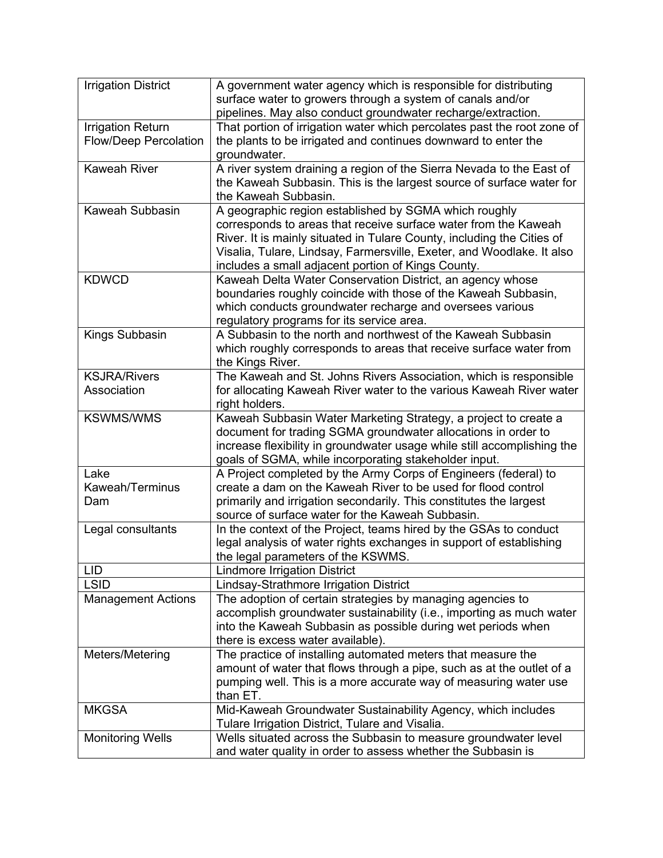| <b>Irrigation District</b>   | A government water agency which is responsible for distributing                                                                       |
|------------------------------|---------------------------------------------------------------------------------------------------------------------------------------|
|                              | surface water to growers through a system of canals and/or                                                                            |
|                              | pipelines. May also conduct groundwater recharge/extraction.                                                                          |
| <b>Irrigation Return</b>     | That portion of irrigation water which percolates past the root zone of                                                               |
| <b>Flow/Deep Percolation</b> | the plants to be irrigated and continues downward to enter the                                                                        |
|                              | groundwater.                                                                                                                          |
| <b>Kaweah River</b>          | A river system draining a region of the Sierra Nevada to the East of                                                                  |
|                              | the Kaweah Subbasin. This is the largest source of surface water for                                                                  |
|                              | the Kaweah Subbasin.                                                                                                                  |
| Kaweah Subbasin              | A geographic region established by SGMA which roughly                                                                                 |
|                              | corresponds to areas that receive surface water from the Kaweah                                                                       |
|                              | River. It is mainly situated in Tulare County, including the Cities of                                                                |
|                              | Visalia, Tulare, Lindsay, Farmersville, Exeter, and Woodlake. It also                                                                 |
|                              | includes a small adjacent portion of Kings County.                                                                                    |
| <b>KDWCD</b>                 | Kaweah Delta Water Conservation District, an agency whose                                                                             |
|                              | boundaries roughly coincide with those of the Kaweah Subbasin,                                                                        |
|                              | which conducts groundwater recharge and oversees various                                                                              |
|                              | regulatory programs for its service area.                                                                                             |
| Kings Subbasin               | A Subbasin to the north and northwest of the Kaweah Subbasin                                                                          |
|                              | which roughly corresponds to areas that receive surface water from                                                                    |
| <b>KSJRA/Rivers</b>          | the Kings River.<br>The Kaweah and St. Johns Rivers Association, which is responsible                                                 |
| Association                  | for allocating Kaweah River water to the various Kaweah River water                                                                   |
|                              | right holders.                                                                                                                        |
| <b>KSWMS/WMS</b>             | Kaweah Subbasin Water Marketing Strategy, a project to create a                                                                       |
|                              | document for trading SGMA groundwater allocations in order to                                                                         |
|                              | increase flexibility in groundwater usage while still accomplishing the                                                               |
|                              | goals of SGMA, while incorporating stakeholder input.                                                                                 |
| Lake                         | A Project completed by the Army Corps of Engineers (federal) to                                                                       |
| Kaweah/Terminus              | create a dam on the Kaweah River to be used for flood control                                                                         |
| Dam                          | primarily and irrigation secondarily. This constitutes the largest                                                                    |
|                              | source of surface water for the Kaweah Subbasin.                                                                                      |
| Legal consultants            | In the context of the Project, teams hired by the GSAs to conduct                                                                     |
|                              | legal analysis of water rights exchanges in support of establishing                                                                   |
|                              | the legal parameters of the KSWMS.                                                                                                    |
| <b>LID</b>                   | <b>Lindmore Irrigation District</b>                                                                                                   |
| <b>LSID</b>                  | Lindsay-Strathmore Irrigation District                                                                                                |
| <b>Management Actions</b>    | The adoption of certain strategies by managing agencies to                                                                            |
|                              | accomplish groundwater sustainability (i.e., importing as much water                                                                  |
|                              | into the Kaweah Subbasin as possible during wet periods when                                                                          |
|                              | there is excess water available).                                                                                                     |
| Meters/Metering              | The practice of installing automated meters that measure the<br>amount of water that flows through a pipe, such as at the outlet of a |
|                              | pumping well. This is a more accurate way of measuring water use                                                                      |
|                              | than ET.                                                                                                                              |
| <b>MKGSA</b>                 | Mid-Kaweah Groundwater Sustainability Agency, which includes                                                                          |
|                              | Tulare Irrigation District, Tulare and Visalia.                                                                                       |
| <b>Monitoring Wells</b>      | Wells situated across the Subbasin to measure groundwater level                                                                       |
|                              | and water quality in order to assess whether the Subbasin is                                                                          |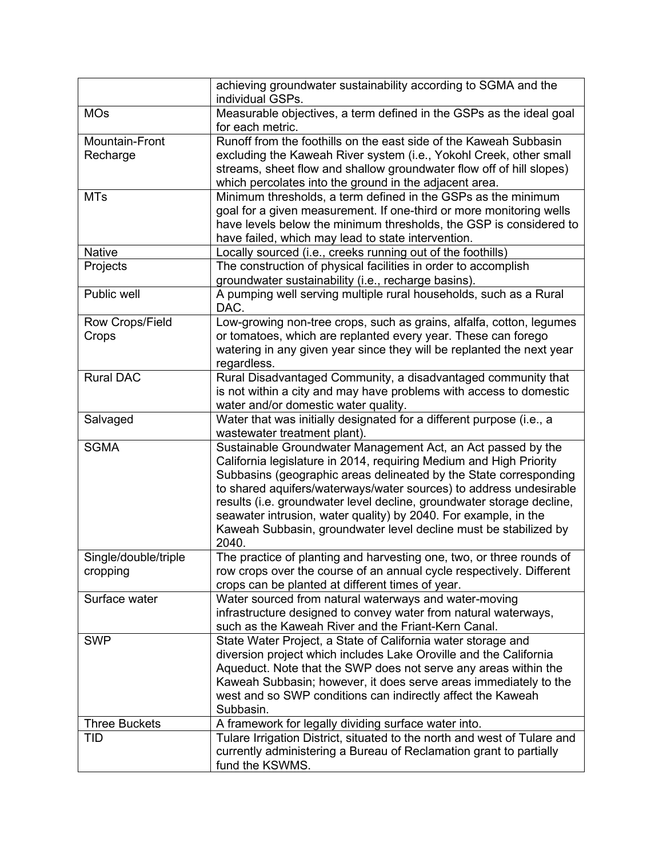|                                   | achieving groundwater sustainability according to SGMA and the<br>individual GSPs.                                                                                                                                                                                                                                                                                                                                                                                                                     |
|-----------------------------------|--------------------------------------------------------------------------------------------------------------------------------------------------------------------------------------------------------------------------------------------------------------------------------------------------------------------------------------------------------------------------------------------------------------------------------------------------------------------------------------------------------|
| <b>MOs</b>                        | Measurable objectives, a term defined in the GSPs as the ideal goal<br>for each metric.                                                                                                                                                                                                                                                                                                                                                                                                                |
| <b>Mountain-Front</b><br>Recharge | Runoff from the foothills on the east side of the Kaweah Subbasin<br>excluding the Kaweah River system (i.e., Yokohl Creek, other small<br>streams, sheet flow and shallow groundwater flow off of hill slopes)<br>which percolates into the ground in the adjacent area.                                                                                                                                                                                                                              |
| <b>MTs</b>                        | Minimum thresholds, a term defined in the GSPs as the minimum<br>goal for a given measurement. If one-third or more monitoring wells<br>have levels below the minimum thresholds, the GSP is considered to<br>have failed, which may lead to state intervention.                                                                                                                                                                                                                                       |
| <b>Native</b>                     | Locally sourced (i.e., creeks running out of the foothills)                                                                                                                                                                                                                                                                                                                                                                                                                                            |
| Projects                          | The construction of physical facilities in order to accomplish<br>groundwater sustainability (i.e., recharge basins).                                                                                                                                                                                                                                                                                                                                                                                  |
| Public well                       | A pumping well serving multiple rural households, such as a Rural<br>DAC.                                                                                                                                                                                                                                                                                                                                                                                                                              |
| Row Crops/Field<br>Crops          | Low-growing non-tree crops, such as grains, alfalfa, cotton, legumes<br>or tomatoes, which are replanted every year. These can forego<br>watering in any given year since they will be replanted the next year<br>regardless.                                                                                                                                                                                                                                                                          |
| <b>Rural DAC</b>                  | Rural Disadvantaged Community, a disadvantaged community that<br>is not within a city and may have problems with access to domestic<br>water and/or domestic water quality.                                                                                                                                                                                                                                                                                                                            |
| Salvaged                          | Water that was initially designated for a different purpose (i.e., a<br>wastewater treatment plant).                                                                                                                                                                                                                                                                                                                                                                                                   |
| <b>SGMA</b>                       | Sustainable Groundwater Management Act, an Act passed by the<br>California legislature in 2014, requiring Medium and High Priority<br>Subbasins (geographic areas delineated by the State corresponding<br>to shared aquifers/waterways/water sources) to address undesirable<br>results (i.e. groundwater level decline, groundwater storage decline,<br>seawater intrusion, water quality) by 2040. For example, in the<br>Kaweah Subbasin, groundwater level decline must be stabilized by<br>2040. |
| Single/double/triple<br>cropping  | The practice of planting and harvesting one, two, or three rounds of<br>row crops over the course of an annual cycle respectively. Different<br>crops can be planted at different times of year.                                                                                                                                                                                                                                                                                                       |
| Surface water                     | Water sourced from natural waterways and water-moving<br>infrastructure designed to convey water from natural waterways,<br>such as the Kaweah River and the Friant-Kern Canal.                                                                                                                                                                                                                                                                                                                        |
| <b>SWP</b>                        | State Water Project, a State of California water storage and<br>diversion project which includes Lake Oroville and the California<br>Aqueduct. Note that the SWP does not serve any areas within the<br>Kaweah Subbasin; however, it does serve areas immediately to the<br>west and so SWP conditions can indirectly affect the Kaweah<br>Subbasin.                                                                                                                                                   |
| <b>Three Buckets</b>              | A framework for legally dividing surface water into.                                                                                                                                                                                                                                                                                                                                                                                                                                                   |
| <b>TID</b>                        | Tulare Irrigation District, situated to the north and west of Tulare and<br>currently administering a Bureau of Reclamation grant to partially<br>fund the KSWMS.                                                                                                                                                                                                                                                                                                                                      |